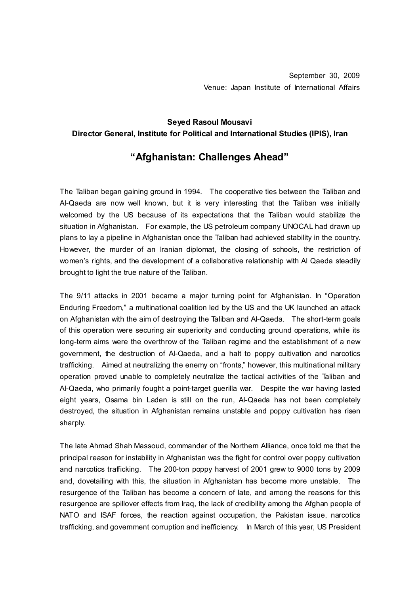## **Seyed Rasoul Mousavi Director General, Institute for Political and International Studies (IPIS), Iran**

## **"Afghanistan: Challenges Ahead"**

The Taliban began gaining ground in 1994. The cooperative ties between the Taliban and Al-Qaeda are now well known, but it is very interesting that the Taliban was initially welcomed by the US because of its expectations that the Taliban would stabilize the situation in Afghanistan. For example, the US petroleum company UNOCAL had drawn up plans to lay a pipeline in Afghanistan once the Taliban had achieved stability in the country. However, the murder of an Iranian diplomat, the closing of schools, the restriction of women's rights, and the development of a collaborative relationship with Al Qaeda steadily brought to light the true nature of the Taliban.

The 9/11 attacks in 2001 became a major turning point for Afghanistan. In "Operation Enduring Freedom," a multinational coalition led by the US and the UK launched an attack on Afghanistan with the aim of destroying the Taliban and Al-Qaeda. The short-term goals of this operation were securing air superiority and conducting ground operations, while its long-term aims were the overthrow of the Taliban regime and the establishment of a new government, the destruction of Al-Qaeda, and a halt to poppy cultivation and narcotics trafficking. Aimed at neutralizing the enemy on "fronts," however, this multinational military operation proved unable to completely neutralize the tactical activities of the Taliban and Al-Qaeda, who primarily fought a point-target guerilla war. Despite the war having lasted eight years, Osama bin Laden is still on the run, Al-Qaeda has not been completely destroyed, the situation in Afghanistan remains unstable and poppy cultivation has risen sharply.

The late Ahmad Shah Massoud, commander of the Northern Alliance, once told me that the principal reason for instability in Afghanistan was the fight for control over poppy cultivation and narcotics trafficking. The 200-ton poppy harvest of 2001 grew to 9000 tons by 2009 and, dovetailing with this, the situation in Afghanistan has become more unstable. The resurgence of the Taliban has become a concern of late, and among the reasons for this resurgence are spillover effects from Iraq, the lack of credibility among the Afghan people of NATO and ISAF forces, the reaction against occupation, the Pakistan issue, narcotics trafficking, and government corruption and inefficiency. In March of this year, US President